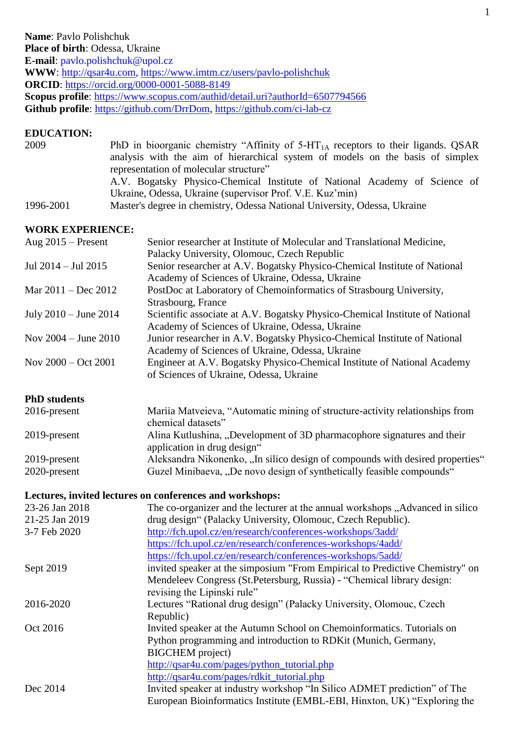#### **EDUCATION:**

| 2009      | PhD in bioorganic chemistry "Affinity of $5-HT1A$ receptors to their ligands. QSAR |
|-----------|------------------------------------------------------------------------------------|
|           | analysis with the aim of hierarchical system of models on the basis of simplex     |
|           | representation of molecular structure"                                             |
|           | A.V. Bogatsky Physico-Chemical Institute of National Academy of Science of         |
|           | Ukraine, Odessa, Ukraine (supervisor Prof. V.E. Kuz'min)                           |
| 1996-2001 | Master's degree in chemistry, Odessa National University, Odessa, Ukraine          |

### **WORK EXPERIENCE:**

| Aug $2015$ – Present     | Senior researcher at Institute of Molecular and Translational Medicine,      |
|--------------------------|------------------------------------------------------------------------------|
|                          | Palacky University, Olomouc, Czech Republic                                  |
| Jul 2014 – Jul 2015      | Senior researcher at A.V. Bogatsky Physico-Chemical Institute of National    |
|                          | Academy of Sciences of Ukraine, Odessa, Ukraine                              |
| Mar 2011 – Dec 2012      | PostDoc at Laboratory of Chemoinformatics of Strasbourg University,          |
|                          | Strasbourg, France                                                           |
| July 2010 – June 2014    | Scientific associate at A.V. Bogatsky Physico-Chemical Institute of National |
|                          | Academy of Sciences of Ukraine, Odessa, Ukraine                              |
| Nov $2004 -$ June $2010$ | Junior researcher in A.V. Bogatsky Physico-Chemical Institute of National    |
|                          | Academy of Sciences of Ukraine, Odessa, Ukraine                              |
| Nov $2000 - Oct 2001$    | Engineer at A.V. Bogatsky Physico-Chemical Institute of National Academy     |
|                          | of Sciences of Ukraine, Odessa, Ukraine                                      |
|                          |                                                                              |

## **PhD students**

| $2016$ -present | Mariia Matveieva, "Automatic mining of structure-activity relationships from  |
|-----------------|-------------------------------------------------------------------------------|
|                 | chemical datasets"                                                            |
| 2019-present    | Alina Kutlushina, "Development of 3D pharmacophore signatures and their       |
|                 | application in drug design"                                                   |
| 2019-present    | Aleksandra Nikonenko, "In silico design of compounds with desired properties" |
| 2020-present    | Guzel Minibaeva, "De novo design of synthetically feasible compounds"         |
|                 |                                                                               |

#### **Lectures, invited lectures on conferences and workshops:**

| 23-26 Jan 2018 | The co-organizer and the lecturer at the annual workshops "Advanced in silico |
|----------------|-------------------------------------------------------------------------------|
| 21-25 Jan 2019 | drug design" (Palacky University, Olomouc, Czech Republic).                   |
| 3-7 Feb 2020   | http://fch.upol.cz/en/research/conferences-workshops/3add/                    |
|                | https://fch.upol.cz/en/research/conferences-workshops/4add/                   |
|                | https://fch.upol.cz/en/research/conferences-workshops/5add/                   |
| Sept 2019      | invited speaker at the simposium "From Empirical to Predictive Chemistry" on  |
|                | Mendeleev Congress (St. Petersburg, Russia) - "Chemical library design:       |
|                | revising the Lipinski rule"                                                   |
| 2016-2020      | Lectures "Rational drug design" (Palacky University, Olomouc, Czech           |
|                | Republic)                                                                     |
| Oct 2016       | Invited speaker at the Autumn School on Chemoinformatics. Tutorials on        |
|                | Python programming and introduction to RDKit (Munich, Germany,                |
|                | <b>BIGCHEM</b> project)                                                       |
|                | http://qsar4u.com/pages/python_tutorial.php                                   |
|                | http://qsar4u.com/pages/rdkit_tutorial.php                                    |
| Dec 2014       | Invited speaker at industry workshop "In Silico ADMET prediction" of The      |
|                | European Bioinformatics Institute (EMBL-EBI, Hinxton, UK) "Exploring the      |